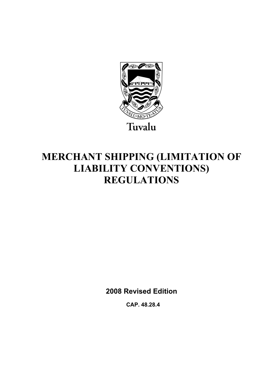

# **MERCHANT SHIPPING (LIMITATION OF LIABILITY CONVENTIONS) REGULATIONS**

**2008 Revised Edition** 

 **CAP. 48.28.4**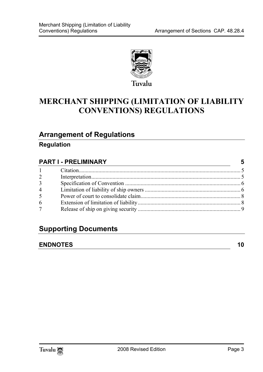

# **MERCHANT SHIPPING (LIMITATION OF LIABILITY CONVENTIONS) REGULATIONS**

### **Arrange[ment of Regulations](#page-4-1)**

### **Regulation**

| <b>PART I - PRELIMINARY</b> |  | 5 |
|-----------------------------|--|---|
| $1 -$                       |  |   |
| $\overline{2}$              |  |   |
| $\overline{3}$              |  |   |
| $\overline{4}$              |  |   |
| $\overline{5}$              |  |   |
| 6                           |  |   |
| 7 <sup>7</sup>              |  |   |

## **Supporting Documents**

#### **ENDNOTES** 10

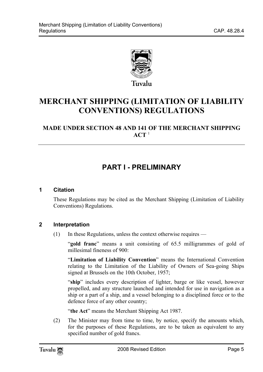

# **MERCHANT SHIPPING (LIMITATION OF LIABILITY CONVENTIONS) REGULA[T](#page-9-1)IONS**

### **MADE UNDER SECTION 48 AND 141 OF THE MERCHANT SHIPPING**   $ACT<sup>1</sup>$

# <span id="page-4-1"></span><span id="page-4-0"></span>**PART I - PRELIMINARY**

#### **1 Citation**

<span id="page-4-2"></span>These Regulations may be cited as the Merchant Shipping (Limitation of Liability Conventions) Regulations.

#### **2 Interpretation**

(1) In these Regulations, unless the context otherwise requires —

"**gold franc**" means a unit consisting of 65.5 milligrammes of gold of millesimal fineness of 900:

"**Limitation of Liability Convention**" means the International Convention relating to the Limitation of the Liability of Owners of Sea-going Ships signed at Brussels on the 10th October, 1957;

"**ship**" includes every description of lighter, barge or like vessel, however propelled, and any structure launched and intended for use in navigation as a ship or a part of a ship, and a vessel belonging to a disciplined force or to the defence force of any other country;

"**the Act**" means the Merchant Shipping Act 1987.

(2) The Minister may from time to time, by notice, specify the amounts which, for the purposes of these Regulations, are to be taken as equivalent to any specified number of gold francs.

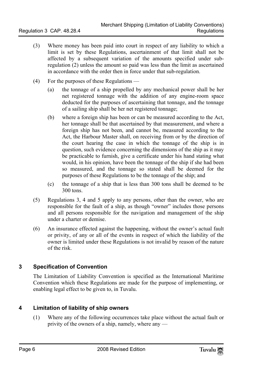- (3) Where money has been paid into court in respect of any liability to which a limit is set by these Regulations, ascertainment of that limit shall not be affected by a subsequent variation of the amounts specified under subregulation (2) unless the amount so paid was less than the limit as ascertained in accordance with the order then in force under that sub-regulation.
- (4) For the purposes of these Regulations
	- (a) the tonnage of a ship propelled by any mechanical power shall be her net registered tonnage with the addition of any engine-room space deducted for the purposes of ascertaining that tonnage, and the tonnage of a sailing ship shall be her net registered tonnage;
	- (b) where a foreign ship has been or can be measured according to the Act, her tonnage shall be that ascertained by that measurement, and where a foreign ship has not been, and cannot be, measured according to the Act, the Harbour Master shall, on receiving from or by the direction of the court hearing the case in which the tonnage of the ship is in question, such evidence concerning the dimensions of the ship as it may be practicable to furnish, give a certificate under his hand stating what would, in his opinion, have been the tonnage of the ship if she had been so measured, and the tonnage so stated shall be deemed for the purposes of these Regulations to be the tonnage of the ship; and
	- (c) the tonnage of a ship that is less than 300 tons shall be deemed to be 300 tons.
- (5) Regulations 3, 4 and 5 apply to any persons, other than the owner, who are responsible for the fault of a ship, as though "owner" includes those persons and all persons responsible for the navigation and management of the ship under a charter or demise.
- <span id="page-5-0"></span>(6) An insurance effected against the happening, without the owner's actual fault or privity, of any or all of the events in respect of which the liability of the owner is limited under these Regulations is not invalid by reason of the nature of the risk.

#### **3 Specification of Convention**

<span id="page-5-1"></span>The Limitation of Liability Convention is specified as the International Maritime Convention which these Regulations are made for the purpose of implementing, or enabling legal effect to be given to, in Tuvalu.

#### **4 Limitation of liability of ship owners**

(1) Where any of the following occurrences take place without the actual fault or privity of the owners of a ship, namely, where any —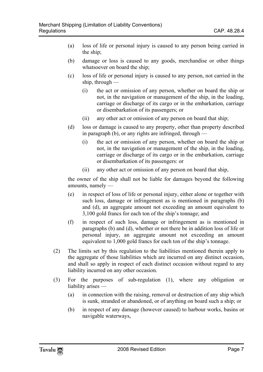- (a) loss of life or personal injury is caused to any person being carried in the ship;
- (b) damage or loss is caused to any goods, merchandise or other things whatsoever on board the ship;
- (c) loss of life or personal injury is caused to any person, not carried in the ship, through —
	- (i) the act or omission of any person, whether on board the ship or not, in the navigation or management of the ship, in the loading, carriage or discharge of its cargo or in the embarkation, carriage or disembarkation of its passengers; or
	- (ii) any other act or omission of any person on board that ship;
- (d) loss or damage is caused to any property, other than property described in paragraph (b), or any rights are infringed, through —
	- (i) the act or omission of any person, whether on board the ship or not, in the navigation or management of the ship, in the loading, carriage or discharge of its cargo or in the embarkation, carriage or disembarkation of its passengers: or
	- (ii) any other act or omission of any person on board that ship,

the owner of the ship shall not be liable for damages beyond the following amounts, namely —

- (e) in respect of loss of life or personal injury, either alone or together with such loss, damage or infringement as is mentioned in paragraphs (b) and (d), an aggregate amount not exceeding an amount equivalent to 3,100 gold francs for each ton of the ship's tonnage; and
- (f) in respect of such loss, damage or infringement as is mentioned in paragraphs (b) and (d), whether or not there be in addition loss of life or personal injury, an aggregate amount not exceeding an amount equivalent to 1,000 gold francs for each ton of the ship's tonnage.
- (2) The limits set by this regulation to the liabilities mentioned therein apply to the aggregate of those liabilities which are incurred on any distinct occasion, and shall so apply in respect of each distinct occasion without regard to any liability incurred on any other occasion.
- (3) For the purposes of sub-regulation (1), where any obligation or liability arises —
	- (a) in connection with the raising, removal or destruction of any ship which is sunk, stranded or abandoned, or of anything on board such a ship; or
	- (b) in respect of any damage (however caused) to harbour works, basins or navigable waterways,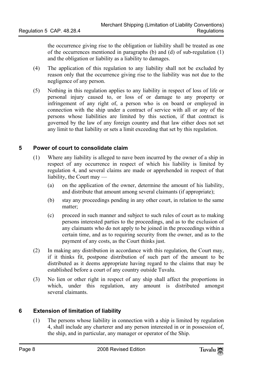the occurrence giving rise to the obligation or liability shall be treated as one of the occurrences mentioned in paragraphs (b) and (d) of sub-regulation (1) and the obligation or liability as a liability to damages.

- (4) The application of this regulation to any liability shall not be excluded by reason only that the occurrence giving rise to the liability was not due to the negligence of any person.
- <span id="page-7-0"></span>(5) Nothing in this regulation applies to any liability in respect of loss of life or personal injury caused to, or loss of or damage to any property or infringement of any right of, a person who is on board or employed in connection with the ship under a contract of service with all or any of the persons whose liabilities are limited by this section, if that contract is governed by the law of any foreign country and that law either does not set any limit to that liability or sets a limit exceeding that set by this regulation.

#### **5 Power of court to consolidate claim**

- (1) Where any liability is alleged to nave been incurred by the owner of a ship in respect of any occurrence in respect of which his liability is limited by regulation 4, and several claims are made or apprehended in respect of that liability, the Court may —
	- (a) on the application of the owner, determine the amount of his liability, and distribute that amount among several claimants (if appropriate);
	- (b) stay any proceedings pending in any other court, in relation to the same matter;
	- (c) proceed in such manner and subject to such rules of court as to making persons interested parties to the proceedings, and as to the exclusion of any claimants who do not apply to be joined in the proceedings within a certain time, and as to requiring security from the owner, and as to the payment of any costs, as the Court thinks just.
- (2) In making any distribution in accordance with this regulation, the Court may, if it thinks fit, postpone distribution of such part of the amount to be distributed as it deems appropriate having regard to the claims that may be established before a court of any country outside Tuvalu.
- <span id="page-7-1"></span>(3) No lien or other right in respect of any ship shall affect the proportions in which, under this regulation, any amount is distributed amongst several claimants.

#### **6 Extension of limitation of liability**

(1) The persons whose liability in connection with a ship is limited by regulation 4, shall include any charterer and any person interested in or in possession of, the ship, and in particular, any manager or operator of the Ship.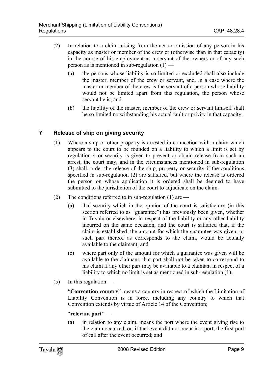- (2) In relation to a claim arising from the act or omission of any person in his capacity as master or member of the crew or (otherwise than in that capacity) in the course of his employment as a servant of the owners or of any such person as is mentioned in sub-regulation  $(1)$  —
	- (a) the persons whose liability is so limited or excluded shall also include the master, member of the crew or servant, and, ,n a case where the master or member of the crew is the servant of a person whose liability would not be limited apart from this regulation, the person whose servant he is; and
	- (b) the liability of the master, member of the crew or servant himself shall be so limited notwithstanding his actual fault or privity in that capacity.

#### **7 Release of ship on giving security**

- <span id="page-8-0"></span>(1) Where a ship or other property is arrested in connection with a claim which appears to the court to be founded on a liability to which a limit is set by regulation 4 or security is given to prevent or obtain release from such an arrest, the court may, and in the circumstances mentioned in sub-regulation (3) shall, order the release of the ship, property or security if the conditions specified in sub-regulation (2) are satisfied, but where the release is ordered the person on whose application it is ordered shall be deemed to have submitted to the jurisdiction of the court to adjudicate on the claim.
- (2) The conditions referred to in sub-regulation  $(1)$  are
	- (a) that security which in the opinion of the court is satisfactory (in this section referred to as "guarantee") has previously been given, whether in Tuvalu or elsewhere, in respect of the liability or any other liability incurred on the same occasion, and the court is satisfied that, if the claim is established, the amount for which the guarantee was given, or such part thereof as corresponds to the claim, would be actually available to the claimant; and
	- (c) where part only of the amount for which a guarantee was given will be available to the claimant, that part shall not be taken to correspond to his claim if any other part may be available to a claimant in respect of a liability to which no limit is set as mentioned in sub-regulation (1).
- $(5)$  In this regulation —

"**Convention country**" means a country in respect of which the Limitation of Liability Convention is in force, including any country to which that Convention extends by virtue of Article 14 of the Convention;

#### "**relevant port**" —

(a) in relation to any claim, means the port where the event giving rise to the claim occurred, or, if that event did not occur in a port, the first port of call after the event occurred; and